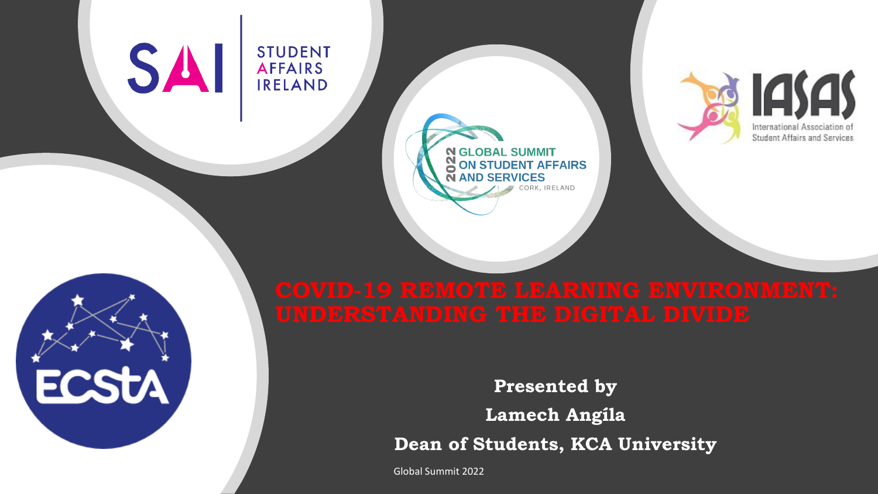#### SAI **STUDENT AFFAIRS IRELAND**

ECSTA



CORK, IRELAND

**N GLOBAL SUMMIT** 

**AND SERVICES** 

**ON STUDENT AFFAIRS** 

**Presented by Lamech Angíla Dean of Students, KCA University**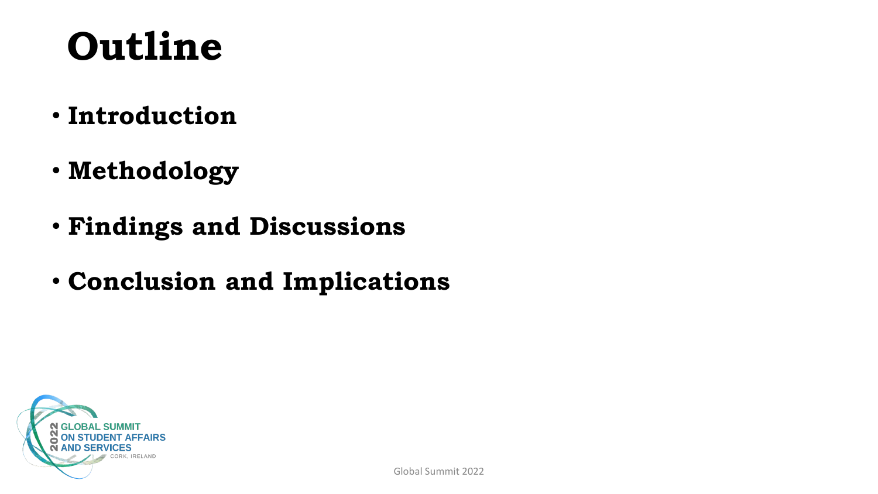## **Outline**

- **Introduction**
- **Methodology**
- **Findings and Discussions**
- **Conclusion and Implications**

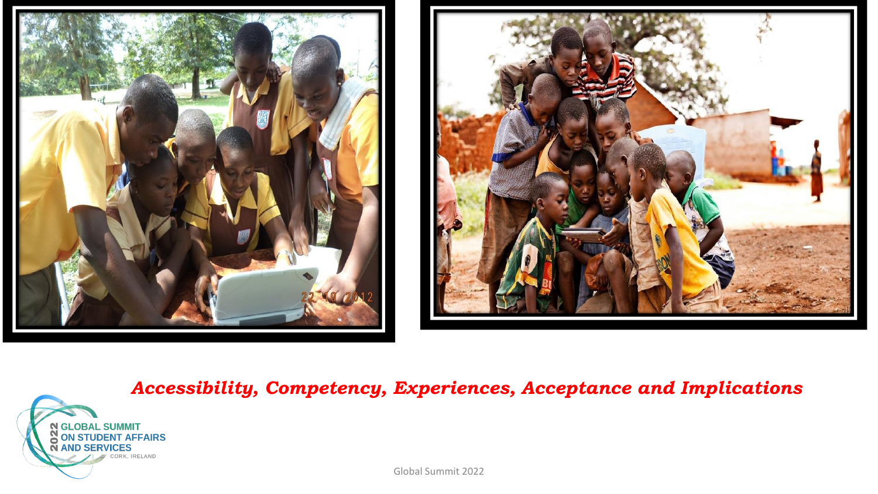





*Accessibility, Competency, Experiences, Acceptance and Implications*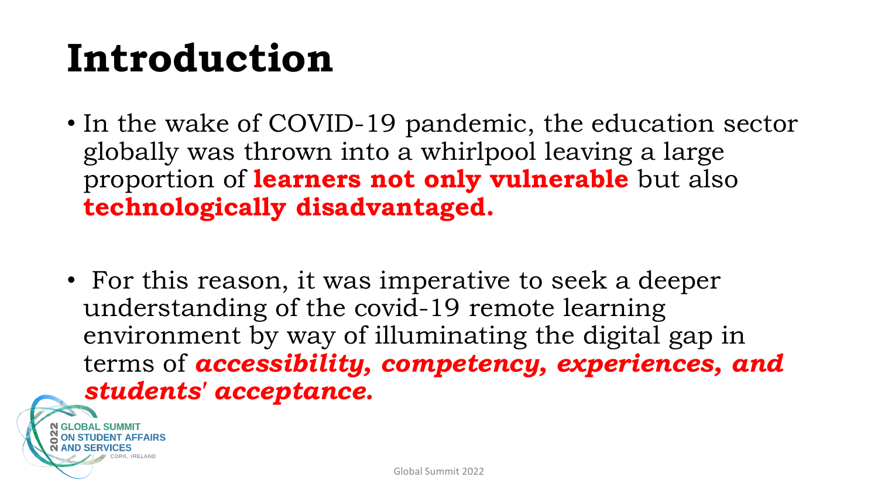## **Introduction**

- In the wake of COVID-19 pandemic, the education sector globally was thrown into a whirlpool leaving a large proportion of **learners not only vulnerable** but also **technologically disadvantaged.**
- For this reason, it was imperative to seek a deeper understanding of the covid-19 remote learning environment by way of illuminating the digital gap in terms of *accessibility, competency, experiences, and students' acceptance.*

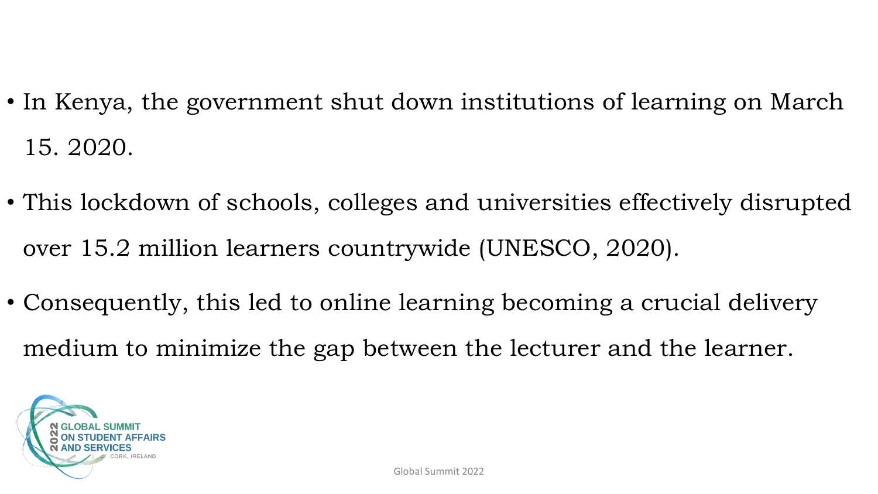- In Kenya, the government shut down institutions of learning on March 15. 2020.
- This lockdown of schools, colleges and universities effectively disrupted over 15.2 million learners countrywide (UNESCO, 2020).
- Consequently, this led to online learning becoming a crucial delivery medium to minimize the gap between the lecturer and the learner.

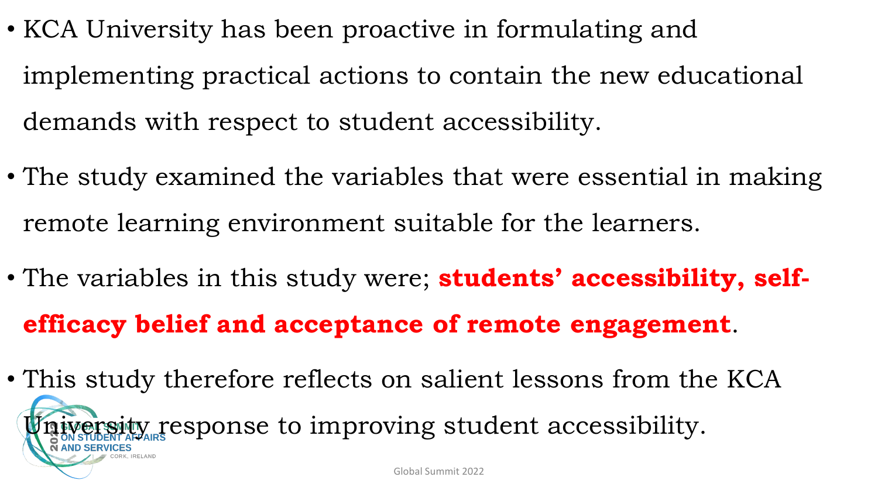- KCA University has been proactive in formulating and implementing practical actions to contain the new educational demands with respect to student accessibility.
- The study examined the variables that were essential in making remote learning environment suitable for the learners.
- The variables in this study were; **students' accessibility, selfefficacy belief and acceptance of remote engagement**.
- This study therefore reflects on salient lessons from the KCA ersity response to improving student accessibility. Global Summit 2022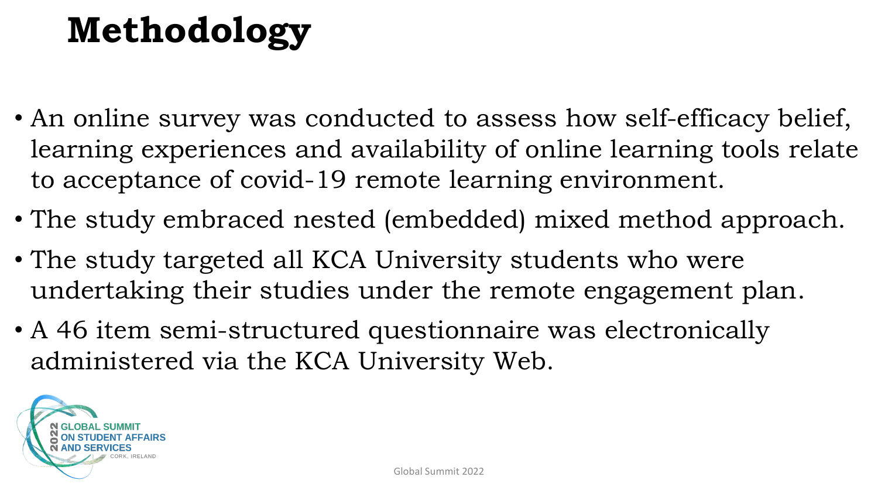## **Methodology**

- An online survey was conducted to assess how self-efficacy belief, learning experiences and availability of online learning tools relate to acceptance of covid-19 remote learning environment.
- The study embraced nested (embedded) mixed method approach.
- The study targeted all KCA University students who were undertaking their studies under the remote engagement plan.
- A 46 item semi-structured questionnaire was electronically administered via the KCA University Web.

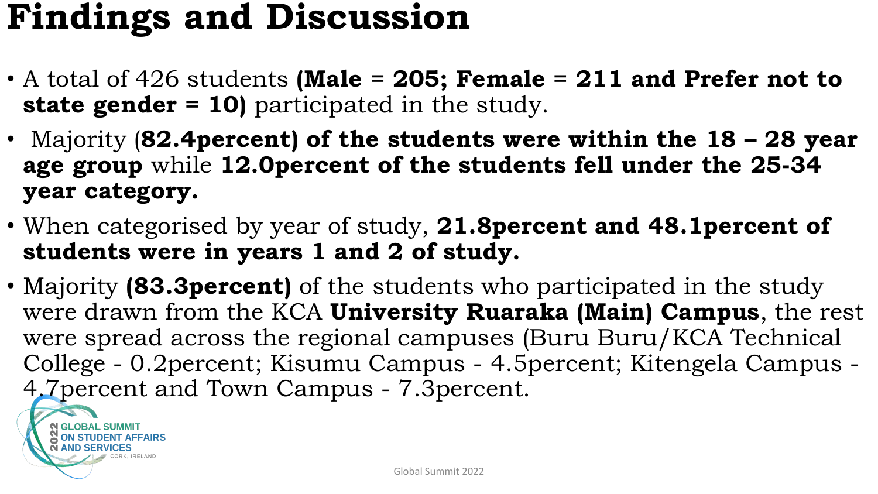### **Findings and Discussion**

- A total of 426 students **(Male = 205; Female = 211 and Prefer not to state gender = 10)** participated in the study.
- Majority (**82.4percent) of the students were within the 18 – 28 year age group** while **12.0percent of the students fell under the 25-34 year category.**
- When categorised by year of study, **21.8percent and 48.1percent of students were in years 1 and 2 of study.**
- Majority **(83.3percent)** of the students who participated in the study were drawn from the KCA **University Ruaraka (Main) Campus**, the rest were spread across the regional campuses (Buru Buru/KCA Technical College - 0.2percent; Kisumu Campus - 4.5percent; Kitengela Campus - 4.7percent and Town Campus - 7.3percent.

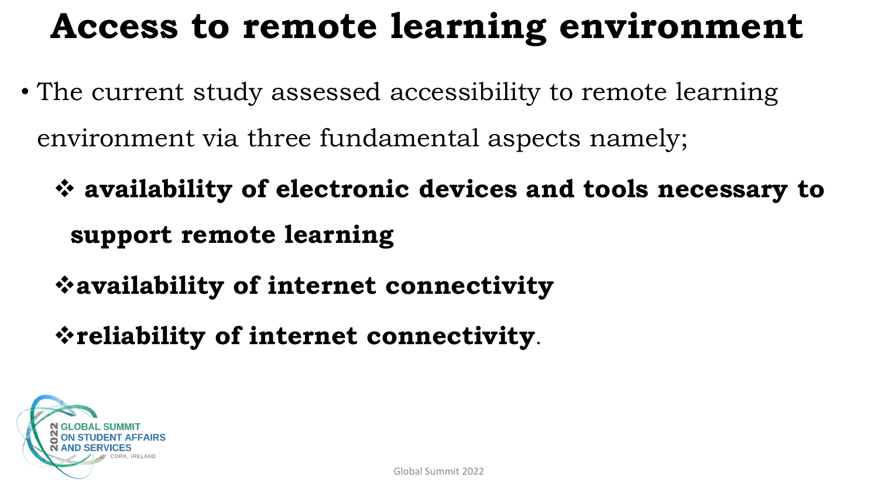### **Access to remote learning environment**

- The current study assessed accessibility to remote learning environment via three fundamental aspects namely;
	- ❖ **availability of electronic devices and tools necessary to support remote learning**
	- ❖**availability of internet connectivity**
	- ❖**reliability of internet connectivity**.

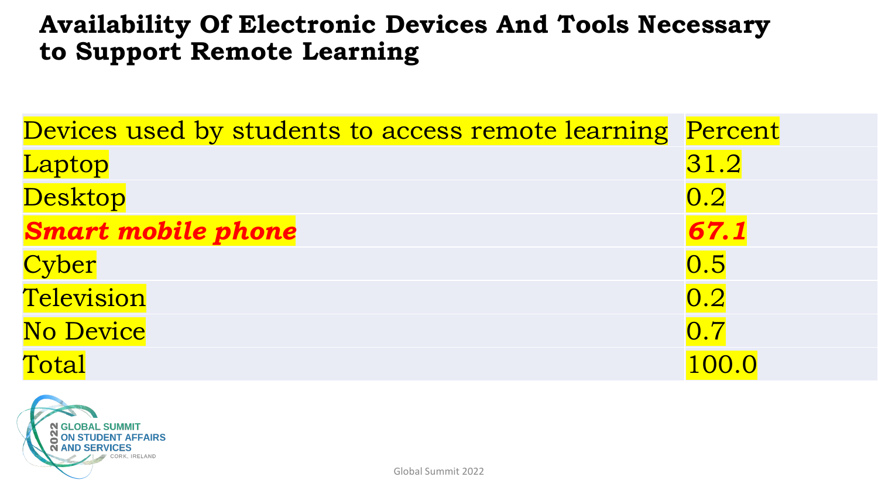#### **Availability Of Electronic Devices And Tools Necessary to Support Remote Learning**

| Devices used by students to access remote learning | Percent          |
|----------------------------------------------------|------------------|
| Laptop                                             | 31.2             |
| <b>Desktop</b>                                     | 0.2              |
| <b>Smart mobile phone</b>                          | 67.1             |
| Cyber                                              | 0.5              |
| Television                                         | 0.2              |
| <b>No Device</b>                                   | $\overline{0.7}$ |
| Total                                              | 100.0            |

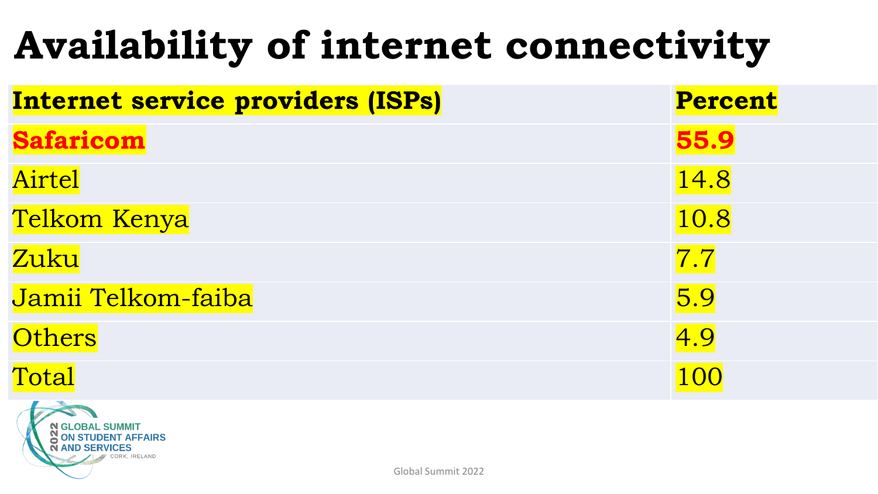## **Availability of internet connectivity**

| <b>Internet service providers (ISPs)</b> | <b>Percent</b> |
|------------------------------------------|----------------|
| <b>Safaricom</b>                         | 55.9           |
| Airtel                                   | 14.8           |
| Telkom Kenya                             | 10.8           |
| Zuku                                     | 7.7            |
| Jamii Telkom-faiba                       | 5.9            |
| <b>Others</b>                            | 4.9            |
| Total                                    | 100            |
| $\overline{1}$                           |                |

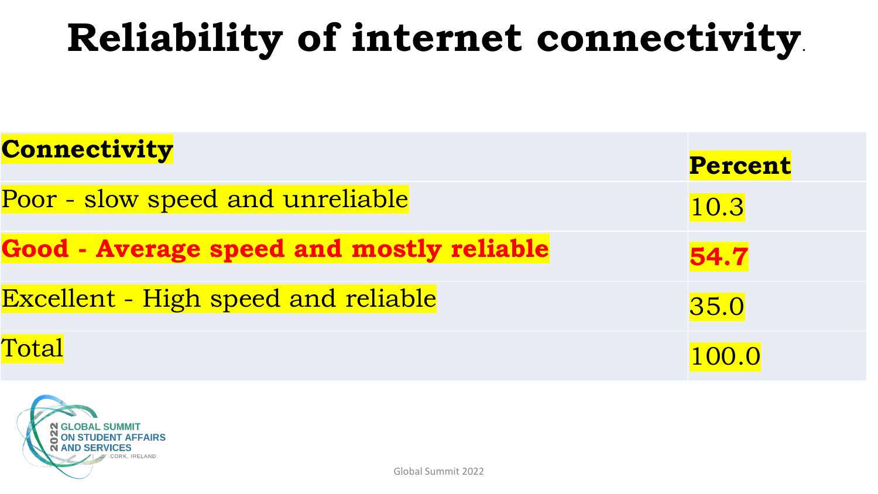## **Reliability of internet connectivity**.

| <b>Connectivity</b>                             | <b>Percent</b> |
|-------------------------------------------------|----------------|
| Poor - slow speed and unreliable                | 10.3           |
| <b>Good - Average speed and mostly reliable</b> | 54.7           |
| <b>Excellent - High speed and reliable</b>      | 35.0           |
| Total                                           | 100.0          |

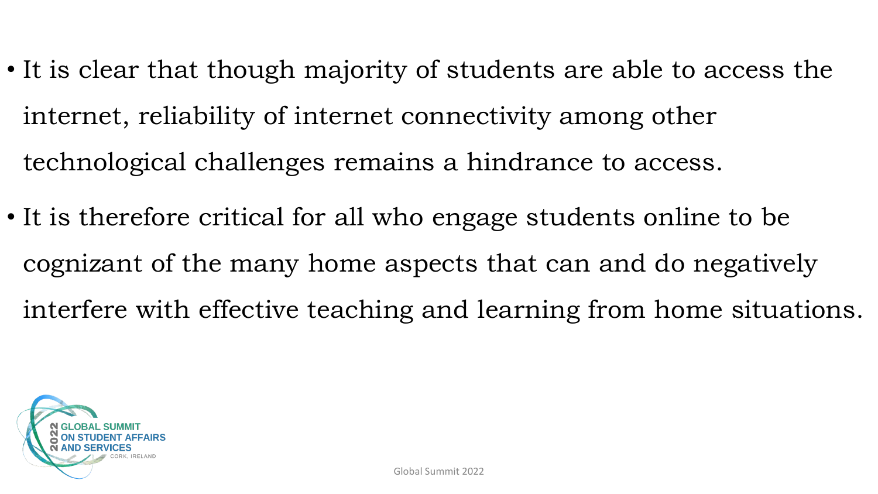- It is clear that though majority of students are able to access the internet, reliability of internet connectivity among other technological challenges remains a hindrance to access.
- It is therefore critical for all who engage students online to be cognizant of the many home aspects that can and do negatively interfere with effective teaching and learning from home situations.

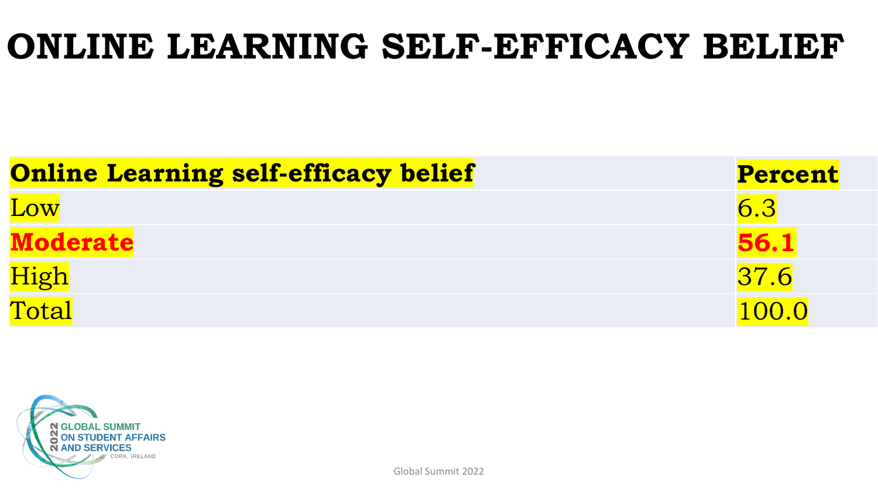#### **ONLINE LEARNING SELF-EFFICACY BELIEF**

| <b>Online Learning self-efficacy belief</b> | Percent     |
|---------------------------------------------|-------------|
| Low                                         | 6.3         |
| <b>Moderate</b>                             | <b>56.1</b> |
| High                                        | 7.6         |
| Total                                       | 100.0       |

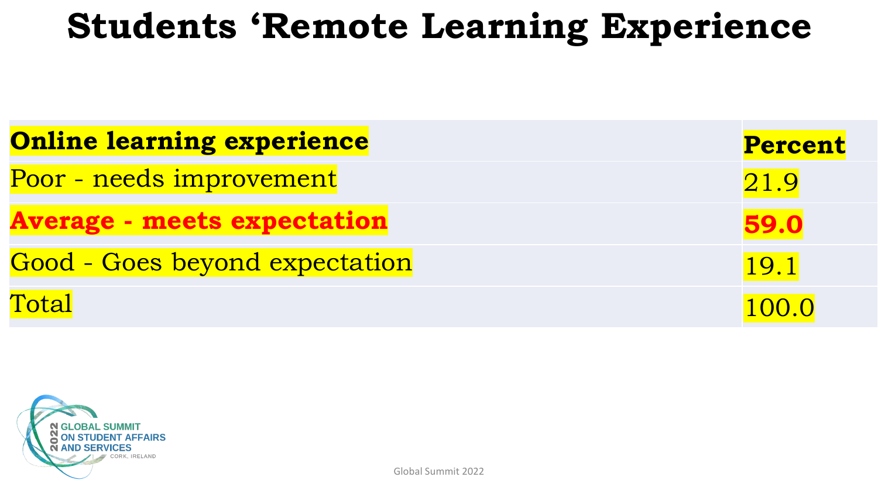#### **Students 'Remote Learning Experience**

| <b>Online learning experience</b>  | <b>Percent</b> |
|------------------------------------|----------------|
| Poor - needs improvement           | 21.9           |
| <b>Average - meets expectation</b> | 59.0           |
| Good - Goes beyond expectation     | 19.1           |
| Total                              | 100.0          |

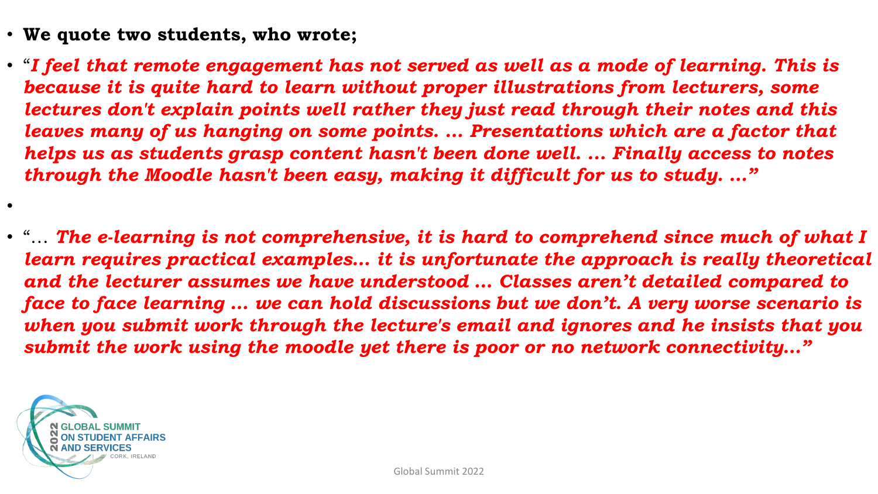- **We quote two students, who wrote;**
- "*I feel that remote engagement has not served as well as a mode of learning. This is because it is quite hard to learn without proper illustrations from lecturers, some lectures don't explain points well rather they just read through their notes and this leaves many of us hanging on some points. ... Presentations which are a factor that helps us as students grasp content hasn't been done well. ... Finally access to notes through the Moodle hasn't been easy, making it difficult for us to study. …"*
- "… *The e-learning is not comprehensive, it is hard to comprehend since much of what I learn requires practical examples… it is unfortunate the approach is really theoretical and the lecturer assumes we have understood … Classes aren't detailed compared to face to face learning … we can hold discussions but we don't. A very worse scenario is when you submit work through the lecture's email and ignores and he insists that you submit the work using the moodle yet there is poor or no network connectivity…"*



•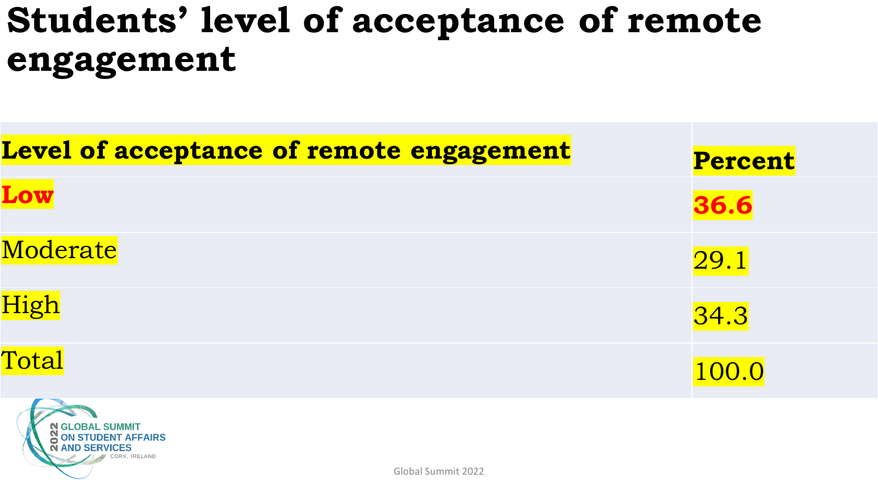### **Students' level of acceptance of remote engagement**

| Level of acceptance of remote engagement | <b>Percent</b> |
|------------------------------------------|----------------|
| Low                                      | 36.6           |
| Moderate                                 | 29.1           |
| High                                     | 34.3           |
| Total                                    | 100.0          |
|                                          |                |

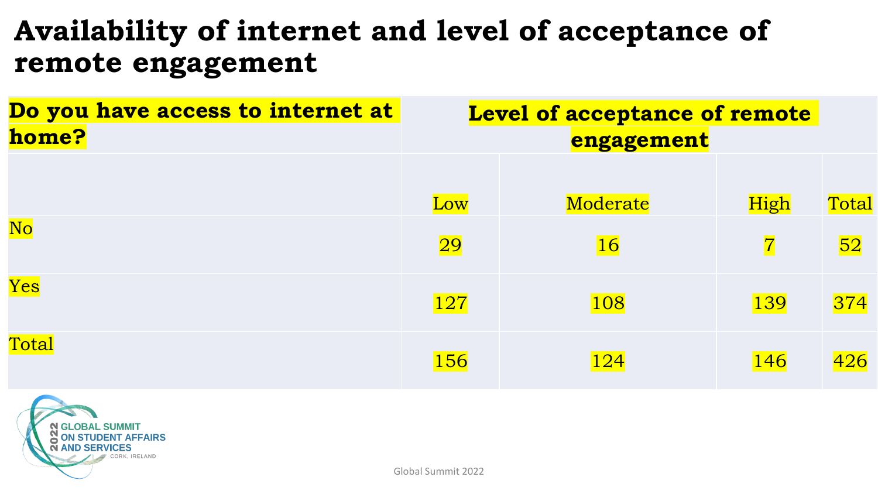#### **Availability of internet and level of acceptance of remote engagement**

| Do you have access to internet at | Level of acceptance of remote |            |                |       |  |
|-----------------------------------|-------------------------------|------------|----------------|-------|--|
| home?                             |                               | engagement |                |       |  |
|                                   |                               |            |                |       |  |
|                                   | Low                           | Moderate   | High           | Total |  |
| N <sub>o</sub>                    | 29                            | <b>16</b>  | $\overline{7}$ | 52    |  |
| Yes                               | <b>127</b>                    | 108        | 139            | 374   |  |
| Total                             | 156                           | <b>124</b> | <b>146</b>     | 426   |  |
|                                   |                               |            |                |       |  |

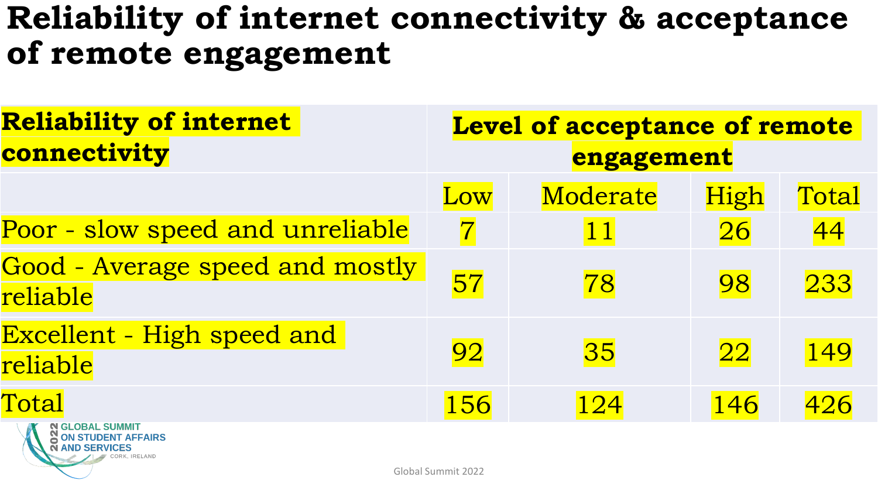#### **Reliability of internet connectivity & acceptance of remote engagement**

| <b>Reliability of internet</b><br>connectivity | <b>Level of acceptance of remote</b><br>engagement |          |      |       |
|------------------------------------------------|----------------------------------------------------|----------|------|-------|
|                                                | Low                                                | Moderate | High | Total |
| Poor - slow speed and unreliable               | $\overline{7}$                                     | 11       | 26   | 44    |
| Good - Average speed and mostly<br>reliable    | 57                                                 | 78       | 98   | 233   |
| <b>Excellent - High speed and</b><br>reliable  | 92                                                 | 35       | 22   | 149   |
| Total<br>N SLOBAL SUMMIT                       | 156                                                | 124      | 146  | 426   |

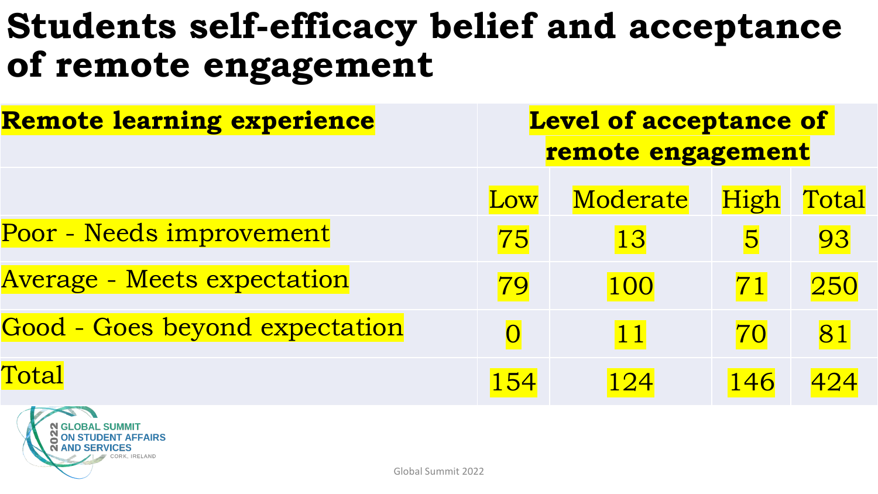### **Students self-efficacy belief and acceptance of remote engagement**

| <b>Remote learning experience</b>     | <b>Level of acceptance of</b><br>remote engagement |          |             |       |
|---------------------------------------|----------------------------------------------------|----------|-------------|-------|
|                                       | Low                                                | Moderate | <b>High</b> | Total |
| Poor - Needs improvement              | 75                                                 | 13       | 5           | 93    |
| <b>Average - Meets expectation</b>    | 79                                                 | 100      | 71          | 250   |
| <b>Good - Goes beyond expectation</b> | $\overline{O}$                                     | 11       | 70          | 81    |
| Total                                 | 154                                                | 124      | 146         | 424   |

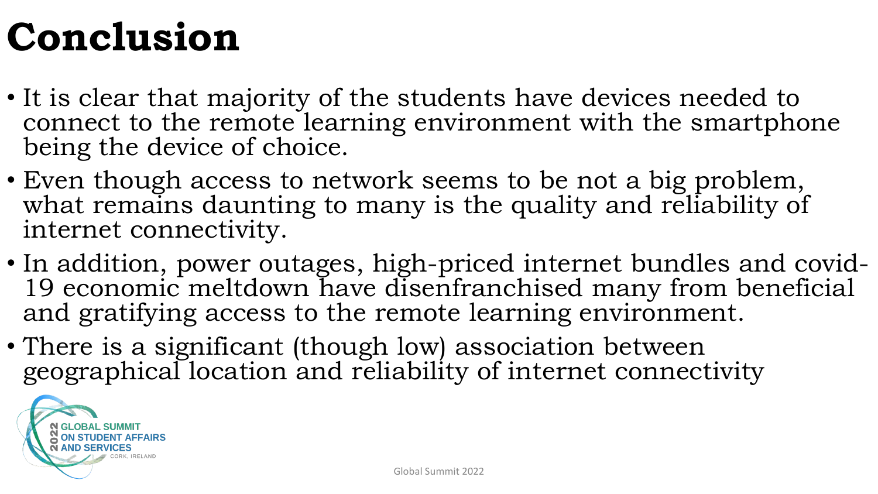## **Conclusion**

- It is clear that majority of the students have devices needed to connect to the remote learning environment with the smartphone being the device of choice.
- Even though access to network seems to be not a big problem, what remains daunting to many is the quality and reliability of internet connectivity.
- In addition, power outages, high-priced internet bundles and covid-19 economic meltdown have disenfranchised many from beneficial and gratifying access to the remote learning environment.
- There is a significant (though low) association between geographical location and reliability of internet connectivity

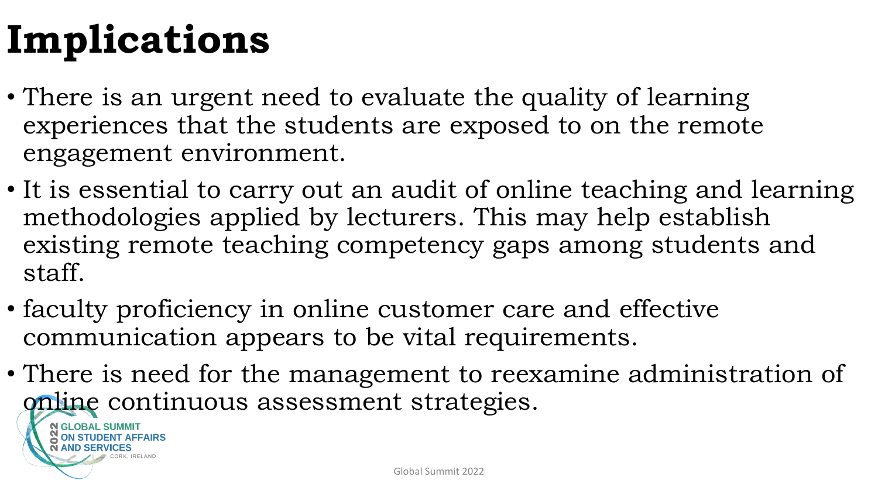## **Implications**

- There is an urgent need to evaluate the quality of learning experiences that the students are exposed to on the remote engagement environment.
- It is essential to carry out an audit of online teaching and learning methodologies applied by lecturers. This may help establish existing remote teaching competency gaps among students and staff.
- faculty proficiency in online customer care and effective communication appears to be vital requirements.
- There is need for the management to reexamine administration of online continuous assessment strategies.

**GLOBAL SUMMIT ON STUDENT AFFAIRS**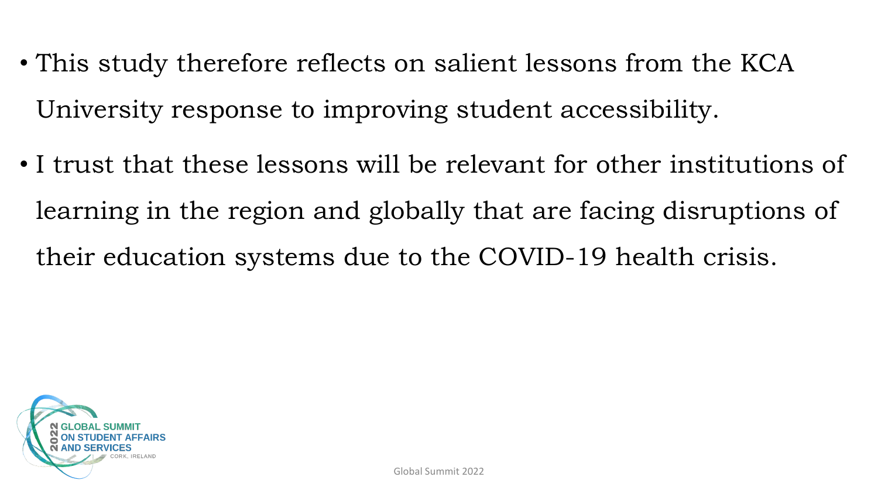- This study therefore reflects on salient lessons from the KCA University response to improving student accessibility.
- I trust that these lessons will be relevant for other institutions of learning in the region and globally that are facing disruptions of their education systems due to the COVID-19 health crisis.